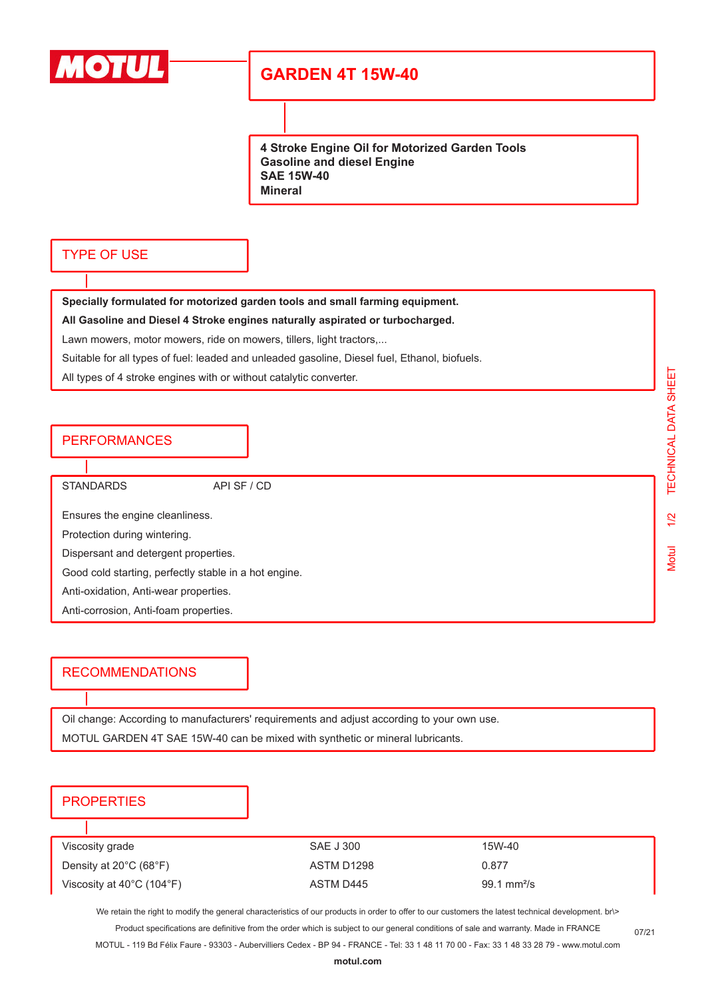

# **GARDEN 4T 15W-40**

**4 Stroke Engine Oil for Motorized Garden Tools Gasoline and diesel Engine SAE 15W-40 Mineral**

## TYPE OF USE

**Specially formulated for motorized garden tools and small farming equipment.**

**All Gasoline and Diesel 4 Stroke engines naturally aspirated or turbocharged.**

Lawn mowers, motor mowers, ride on mowers, tillers, light tractors,...

Suitable for all types of fuel: leaded and unleaded gasoline, Diesel fuel, Ethanol, biofuels.

All types of 4 stroke engines with or without catalytic converter.

## PERFORMANCES

STANDARDS API SF / CD

Ensures the engine cleanliness.

Protection during wintering.

Dispersant and detergent properties.

Good cold starting, perfectly stable in a hot engine.

Anti-oxidation, Anti-wear properties.

Anti-corrosion, Anti-foam properties.

## RECOMMENDATIONS

Oil change: According to manufacturers' requirements and adjust according to your own use.

MOTUL GARDEN 4T SAE 15W-40 can be mixed with synthetic or mineral lubricants.

## **PROPERTIES**

| Viscosity grade                                | SAE J 300  | 15W-40                       |
|------------------------------------------------|------------|------------------------------|
| Density at $20^{\circ}$ C (68 $^{\circ}$ F)    | ASTM D1298 | 0.877                        |
| Viscosity at $40^{\circ}$ C (104 $^{\circ}$ F) | ASTM D445  | $99.1 \text{ mm}^2/\text{s}$ |

We retain the right to modify the general characteristics of our products in order to offer to our customers the latest technical development. br\> Product specifications are definitive from the order which is subject to our general conditions of sale and warranty. Made in FRANCE

MOTUL - 119 Bd Félix Faure - 93303 - Aubervilliers Cedex - BP 94 - FRANCE - Tel: 33 1 48 11 70 00 - Fax: 33 1 48 33 28 79 - www.motul.com

07/21